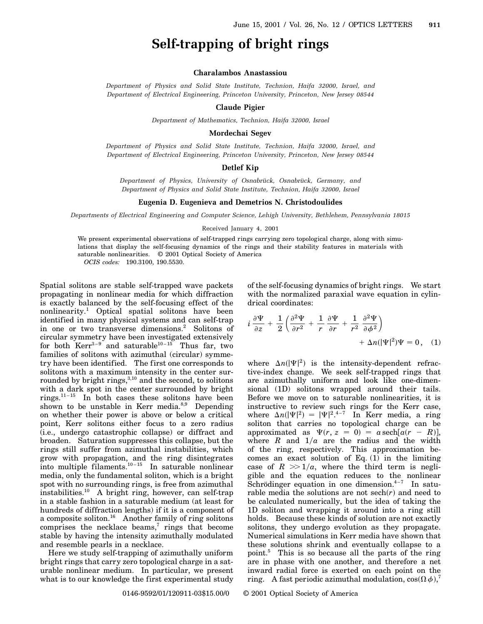# **Self-trapping of bright rings**

## **Charalambos Anastassiou**

*Department of Physics and Solid State Institute, Technion, Haifa 32000, Israel, and Department of Electrical Engineering, Princeton University, Princeton, New Jersey 08544*

**Claude Pigier**

*Department of Mathematics, Technion, Haifa 32000, Israel*

### **Mordechai Segev**

*Department of Physics and Solid State Institute, Technion, Haifa 32000, Israel, and Department of Electrical Engineering, Princeton University, Princeton, New Jersey 08544*

## **Detlef Kip**

*Department of Physics, University of Osnabrück, Osnabrück, Germany, and Department of Physics and Solid State Institute, Technion, Haifa 32000, Israel*

#### **Eugenia D. Eugenieva and Demetrios N. Christodoulides**

*Departments of Electrical Engineering and Computer Science, Lehigh University, Bethlehem, Pennsylvania 18015*

#### Received January 4, 2001

We present experimental observations of self-trapped rings carrying zero topological charge, along with simulations that display the self-focusing dynamics of the rings and their stability features in materials with saturable nonlinearities. © 2001 Optical Society of America *OCIS codes:* 190.3100, 190.5530.

Spatial solitons are stable self-trapped wave packets propagating in nonlinear media for which diffraction is exactly balanced by the self-focusing effect of the nonlinearity.1 Optical spatial solitons have been identified in many physical systems and can self-trap in one or two transverse dimensions.<sup>2</sup> Solitons of circular symmetry have been investigated extensively for both  $Kerr^{3-9}$  and saturable<sup>10-15</sup> Thus far, two families of solitons with azimuthal (circular) symmetry have been identified. The first one corresponds to solitons with a maximum intensity in the center surrounded by bright rings, $3,10$  and the second, to solitons with a dark spot in the center surrounded by bright rings. $11 - 15$  In both cases these solitons have been shown to be unstable in Kerr media. $8,9$  Depending on whether their power is above or below a critical point, Kerr solitons either focus to a zero radius (i.e., undergo catastrophic collapse) or diffract and broaden. Saturation suppresses this collapse, but the rings still suffer from azimuthal instabilities, which grow with propagation, and the ring disintegrates into multiple filaments. $10 - 15$  In saturable nonlinear media, only the fundamental soliton, which is a bright spot with no surrounding rings, is free from azimuthal instabilities.10 A bright ring, however, can self-trap in a stable fashion in a saturable medium (at least for hundreds of diffraction lengths) if it is a component of a composite soliton.16 Another family of ring solitons comprises the necklace beams, $\bar{r}$  rings that become stable by having the intensity azimuthally modulated and resemble pearls in a necklace.

Here we study self-trapping of azimuthally uniform bright rings that carry zero topological charge in a saturable nonlinear medium. In particular, we present what is to our knowledge the first experimental study of the self-focusing dynamics of bright rings. We start with the normalized paraxial wave equation in cylindrical coordinates:

$$
i \frac{\partial \Psi}{\partial z} + \frac{1}{2} \left( \frac{\partial^2 \Psi}{\partial r^2} + \frac{1}{r} \frac{\partial \Psi}{\partial r} + \frac{1}{r^2} \frac{\partial^2 \Psi}{\partial \phi^2} \right) + \Delta n (|\Psi|^2) \Psi = 0, \quad (1)
$$

where  $\Delta n(|\Psi|^2)$  is the intensity-dependent refractive-index change. We seek self-trapped rings that are azimuthally uniform and look like one-dimensional (1D) solitons wrapped around their tails. Before we move on to saturable nonlinearities, it is instructive to review such rings for the Kerr case, where  $\Delta n(|\Psi|^2) = |\Psi|^2$ .<sup>4-7</sup> In Kerr media, a ring soliton that carries no topological charge can be approximated as  $\Psi(r, z = 0) = a \operatorname{sech}[a(r - R)],$ where  $R$  and  $1/a$  are the radius and the width of the ring, respectively. This approximation becomes an exact solution of Eq.  $(1)$  in the limiting case of  $R \gg 1/a$ , where the third term is negligible and the equation reduces to the nonlinear Schrödinger equation in one dimension. $4-7$  In saturable media the solutions are not  $\mathrm{sech}(r)$  and need to be calculated numerically, but the idea of taking the 1D soliton and wrapping it around into a ring still holds. Because these kinds of solution are not exactly solitons, they undergo evolution as they propagate. Numerical simulations in Kerr media have shown that these solutions shrink and eventually collapse to a point.<sup>5</sup> This is so because all the parts of the ring are in phase with one another, and therefore a net inward radial force is exerted on each point on the ring. A fast periodic azimuthal modulation,  $\cos(\Omega \, \phi)$ ,<sup>7</sup>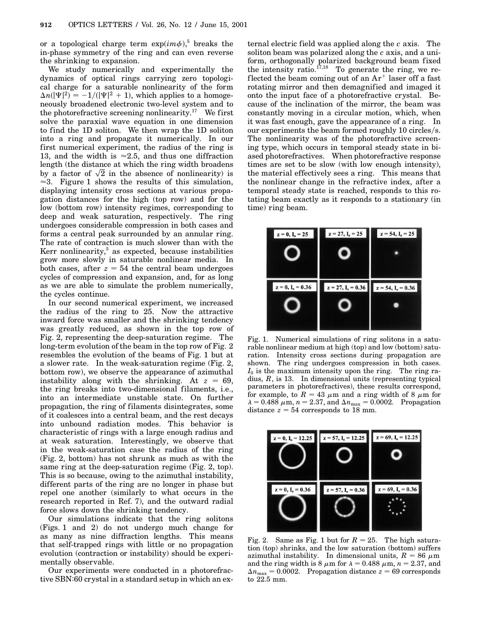or a topological charge term  $\exp(im\phi)$ <sup>5</sup> breaks the in-phase symmetry of the ring and can even reverse the shrinking to expansion.

We study numerically and experimentally the dynamics of optical rings carrying zero topological charge for a saturable nonlinearity of the form  $\Delta n(|\Psi|^2) = -1/(|\Psi|^2 + 1)$ , which applies to a homogeneously broadened electronic two-level system and to the photorefractive screening nonlinearity.<sup>17</sup> We first solve the paraxial wave equation in one dimension to find the 1D soliton. We then wrap the 1D soliton into a ring and propagate it numerically. In our first numerical experiment, the radius of the ring is 13, and the width is  $\approx 2.5$ , and thus one diffraction length (the distance at which the ring width broadens length (the distance at which the ring width broadens<br>by a factor of  $\sqrt{2}$  in the absence of nonlinearity) is  $\approx$ 3. Figure 1 shows the results of this simulation, displaying intensity cross sections at various propagation distances for the high (top row) and for the low (bottom row) intensity regimes, corresponding to deep and weak saturation, respectively. The ring undergoes considerable compression in both cases and forms a central peak surrounded by an annular ring. The rate of contraction is much slower than with the Kerr nonlinearity, $5$  as expected, because instabilities grow more slowly in saturable nonlinear media. In both cases, after  $z = 54$  the central beam undergoes cycles of compression and expansion, and, for as long as we are able to simulate the problem numerically, the cycles continue.

In our second numerical experiment, we increased the radius of the ring to 25. Now the attractive inward force was smaller and the shrinking tendency was greatly reduced, as shown in the top row of Fig. 2, representing the deep-saturation regime. The long-term evolution of the beam in the top row of Fig. 2 resembles the evolution of the beams of Fig. 1 but at a slower rate. In the weak-saturation regime (Fig. 2, bottom row), we observe the appearance of azimuthal instability along with the shrinking. At  $z = 69$ , the ring breaks into two-dimensional filaments, i.e., into an intermediate unstable state. On further propagation, the ring of filaments disintegrates, some of it coalesces into a central beam, and the rest decays into unbound radiation modes. This behavior is characteristic of rings with a large enough radius and at weak saturation. Interestingly, we observe that in the weak-saturation case the radius of the ring (Fig. 2, bottom) has not shrunk as much as with the same ring at the deep-saturation regime (Fig. 2, top). This is so because, owing to the azimuthal instability, different parts of the ring are no longer in phase but repel one another (similarly to what occurs in the research reported in Ref. 7), and the outward radial force slows down the shrinking tendency.

Our simulations indicate that the ring solitons (Figs. 1 and 2) do not undergo much change for as many as nine diffraction lengths. This means that self-trapped rings with little or no propagation evolution (contraction or instability) should be experimentally observable.

Our experiments were conducted in a photorefractive SBN:60 crystal in a standard setup in which an ex-

ternal electric field was applied along the *c* axis. The soliton beam was polarized along the *c* axis, and a uniform, orthogonally polarized background beam fixed the intensity ratio.<sup>17,18</sup> To generate the ring, we reflected the beam coming out of an  $Ar^+$  laser off a fast rotating mirror and then demagnified and imaged it onto the input face of a photorefractive crystal. Because of the inclination of the mirror, the beam was constantly moving in a circular motion, which, when it was fast enough, gave the appearance of a ring. In our experiments the beam formed roughly 10 circles/s. The nonlinearity was of the photorefractive screening type, which occurs in temporal steady state in biased photorefractives. When photorefractive response times are set to be slow (with low enough intensity), the material effectively sees a ring. This means that the nonlinear change in the refractive index, after a temporal steady state is reached, responds to this rotating beam exactly as it responds to a stationary (in time) ring beam.



Fig. 1. Numerical simulations of ring solitons in a saturable nonlinear medium at high (top) and low (bottom) saturation. Intensity cross sections during propagation are shown. The ring undergoes compression in both cases. *I*<sup>0</sup> is the maximum intensity upon the ring. The ring radius, *R*, is 13. In dimensional units (representing typical parameters in photorefractives), these results correspond, for example, to  $R = 43 \mu m$  and a ring width of 8  $\mu m$  for  $\lambda = 0.488 \ \mu \text{m}$ ,  $n = 2.37$ , and  $\Delta n_{\text{max}} = 0.0002$ . Propagation distance  $z = 54$  corresponds to 18 mm.



Fig. 2. Same as Fig. 1 but for  $R = 25$ . The high saturation (top) shrinks, and the low saturation (bottom) suffers azimuthal instability. In dimensional units,  $R = 86 \mu m$ and the ring width is 8  $\mu$ m for  $\lambda = 0.488 \mu$ m,  $n = 2.37$ , and  $\Delta n_{\text{max}} = 0.0002$ . Propagation distance  $z = 69$  corresponds to 22.5 mm.